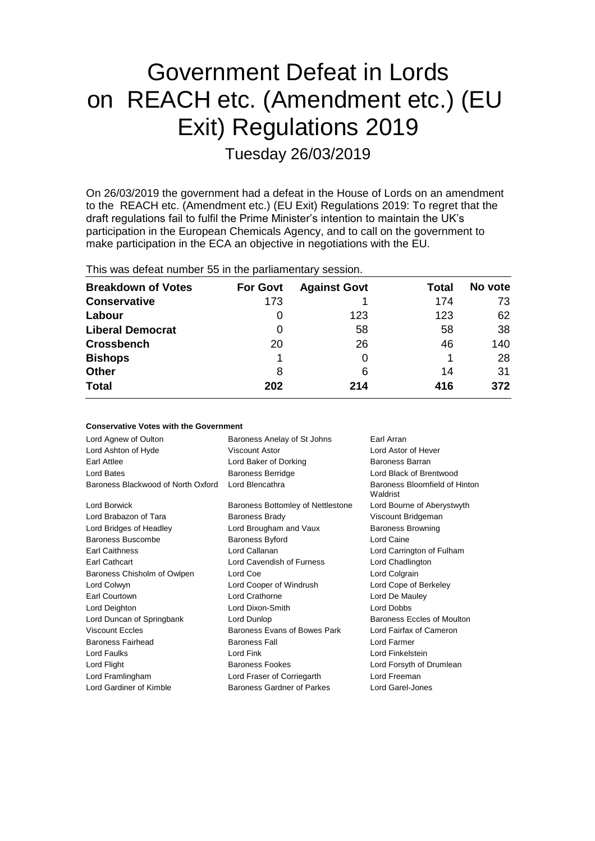# Government Defeat in Lords on REACH etc. (Amendment etc.) (EU Exit) Regulations 2019

Tuesday 26/03/2019

On 26/03/2019 the government had a defeat in the House of Lords on an amendment to the REACH etc. (Amendment etc.) (EU Exit) Regulations 2019: To regret that the draft regulations fail to fulfil the Prime Minister's intention to maintain the UK's participation in the European Chemicals Agency, and to call on the government to make participation in the ECA an objective in negotiations with the EU.

|  |  |  | This was defeat number 55 in the parliamentary session. |  |
|--|--|--|---------------------------------------------------------|--|
|--|--|--|---------------------------------------------------------|--|

**Conservative Votes with the Government**

| <b>Breakdown of Votes</b> | <b>For Govt</b> | <b>Against Govt</b> | Total | No vote |
|---------------------------|-----------------|---------------------|-------|---------|
| <b>Conservative</b>       | 173             |                     | 174   | 73      |
| Labour                    | O               | 123                 | 123   | 62      |
| <b>Liberal Democrat</b>   | 0               | 58                  | 58    | 38      |
| <b>Crossbench</b>         | 20              | 26                  | 46    | 140     |
| <b>Bishops</b>            |                 |                     |       | 28      |
| <b>Other</b>              | 8               | 6                   | 14    | 31      |
| <b>Total</b>              | 202             | 214                 | 416   | 372     |

| CONSERVATIVE AOIES MILII LIIE QUVENINIENI |                                   |                                           |
|-------------------------------------------|-----------------------------------|-------------------------------------------|
| Lord Agnew of Oulton                      | Baroness Anelay of St Johns       | Earl Arran                                |
| Lord Ashton of Hyde                       | Viscount Astor                    | I ord Astor of Hever                      |
| <b>Earl Attlee</b>                        | Lord Baker of Dorking             | Baroness Barran                           |
| Lord Bates                                | <b>Baroness Berridge</b>          | Lord Black of Brentwood                   |
| Baroness Blackwood of North Oxford        | Lord Blencathra                   | Baroness Bloomfield of Hinton<br>Waldrist |
| Lord Borwick                              | Baroness Bottomley of Nettlestone | Lord Bourne of Aberystwyth                |
| Lord Brabazon of Tara                     | <b>Baroness Brady</b>             | Viscount Bridgeman                        |
| Lord Bridges of Headley                   | Lord Brougham and Vaux            | <b>Baroness Browning</b>                  |
| Baroness Buscombe                         | <b>Baroness Byford</b>            | Lord Caine                                |
| <b>Earl Caithness</b>                     | Lord Callanan                     | Lord Carrington of Fulham                 |
| Earl Cathcart                             | Lord Cavendish of Furness         | Lord Chadlington                          |
| Baroness Chisholm of Owlpen               | Lord Coe                          | Lord Colgrain                             |
| Lord Colwyn                               | Lord Cooper of Windrush           | Lord Cope of Berkeley                     |
| Earl Courtown                             | Lord Crathorne                    | Lord De Mauley                            |
| Lord Deighton                             | Lord Dixon-Smith                  | <b>Lord Dobbs</b>                         |
| Lord Duncan of Springbank                 | Lord Dunlop                       | Baroness Eccles of Moulton                |
| <b>Viscount Eccles</b>                    | Baroness Evans of Bowes Park      | Lord Fairfax of Cameron                   |
| Baroness Fairhead                         | <b>Baroness Fall</b>              | Lord Farmer                               |
| Lord Faulks                               | Lord Fink                         | Lord Finkelstein                          |
| Lord Flight                               | <b>Baroness Fookes</b>            | Lord Forsyth of Drumlean                  |
| Lord Framlingham                          | Lord Fraser of Corriegarth        | Lord Freeman                              |
| Lord Gardiner of Kimble                   | Baroness Gardner of Parkes        | Lord Garel-Jones                          |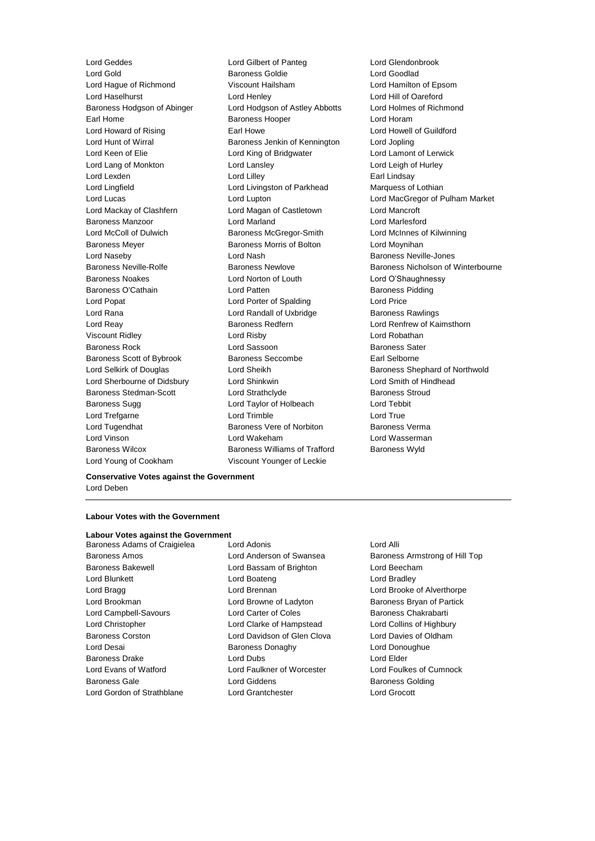Lord Gold **Baroness Goldie Baroness Goldie Lord Goodlad** Lord Hague of Richmond Viscount Hailsham Lord Hamilton of Epsom Lord Haselhurst **Lord Henley** Lord Henley **Lord Henley** Lord Hill of Oareford<br>
Baroness Hodgson of Abinger Lord Hodgson of Astley Abbotts Lord Holmes of Richmond Baroness Hodgson of Abinger Lord Hodgson of Astley Abbotts Earl Home **Baroness Hooper Baroness Hooper Lord Horam** Lord Howard of Rising **Earl Howe** Earl Howe **Lord Howell of Guildford** Lord Hunt of Wirral Baroness Jenkin of Kennington Lord Jopling Lord Keen of Elie **Lord King of Bridgwater** Lord Lamont of Lerwick Lord Lang of Monkton Lord Lansley Lord Leigh of Hurley Lord Lexden **Lord Lindsay** Lord Lilley **Communication** Lord Lilley **Earl Lindsay** Lord Lingfield Lord Livingston of Parkhead Marquess of Lothian Lord Mackay of Clashfern Lord Magan of Castletown Lord Mancroft Baroness Manzoor Lord Marland Lord Marlesford Lord McColl of Dulwich Baroness McGregor-Smith Lord McInnes of Kilwinning Baroness Meyer **Baroness Morris of Bolton** Lord Moynihan Lord Naseby **Lord Nash Baroness Neville-Jones** Baroness Noakes Lord Norton of Louth Lord O'Shaughnessy Baroness O'Cathain **Baroness** Pidding Lord Patten **Baroness** Pidding Lord Popat Lord Porter of Spalding Lord Price Lord Rana Lord Randall of Uxbridge Baroness Rawlings Lord Reay **Baroness Redfern Lord Renfrew of Kaimsthorn** Lord Renfrew of Kaimsthorn Viscount Ridley Lord Risby Lord Robathan Baroness Rock Lord Sassoon Baroness Sater Baroness Scott of Bybrook Baroness Seccombe Earl Selborne Lord Sherbourne of Didsbury Lord Shinkwin Lord Smith of Hindhead Baroness Stedman-Scott Lord Strathclyde Baroness Stroud Baroness Sugg Lord Taylor of Holbeach Lord Tebbit Lord Trefgarne **Lord Trimble** Lord Trimble **Lord True** Lord Tugendhat **Baroness Vere of Norbiton** Baroness Verma Lord Vinson Lord Wakeham Lord Wasserman Baroness Wilcox **Baroness Williams of Trafford** Baroness Wyld

Lord Geddes Lord Gilbert of Panteg Lord Glendonbrook Lord Young of Cookham Viscount Younger of Leckie

Lord Lucas Lord Lupton Lord MacGregor of Pulham Market Baroness Neville-Rolfe Baroness Newlove Baroness Nicholson of Winterbourne Lord Selkirk of Douglas **Lord Sheikh** Baroness Shephard of Northwold

### **Conservative Votes against the Government** Lord Deben

#### **Labour Votes with the Government**

# **Labour Votes against the Government**

- Baroness Bakewell **Exercise Set Exercise Set Cord Bassam of Brighton** Lord Beecham Lord Blunkett **Lord Boateng** Lord Boateng Lord Bradley Lord Bragg **Lord Brennan** Lord Brennan **Lord Brooke of Alverthorpe** Lord Brookman **Lord Browne of Ladyton** Baroness Bryan of Partick Lord Campbell-Savours **Lord Carter of Coles** Baroness Chakrabarti Lord Christopher Lord Clarke of Hampstead Lord Collins of Highbury Baroness Corston Lord Davidson of Glen Clova Lord Davies of Oldham Lord Desai **Baroness Donaghy** Lord Donoughue Baroness Drake Lord Dubs Lord Elder Lord Evans of Watford Lord Faulkner of Worcester Lord Foulkes of Cumnock Baroness Gale **Baroness Golding** Lord Giddens **Baroness Golding**
- Baroness Adams of Craigielea Lord Adonis Lord Alli Lord Gordon of Strathblane Lord Grantchester Lord Grocott

Baroness Amos Lord Anderson of Swansea Baroness Armstrong of Hill Top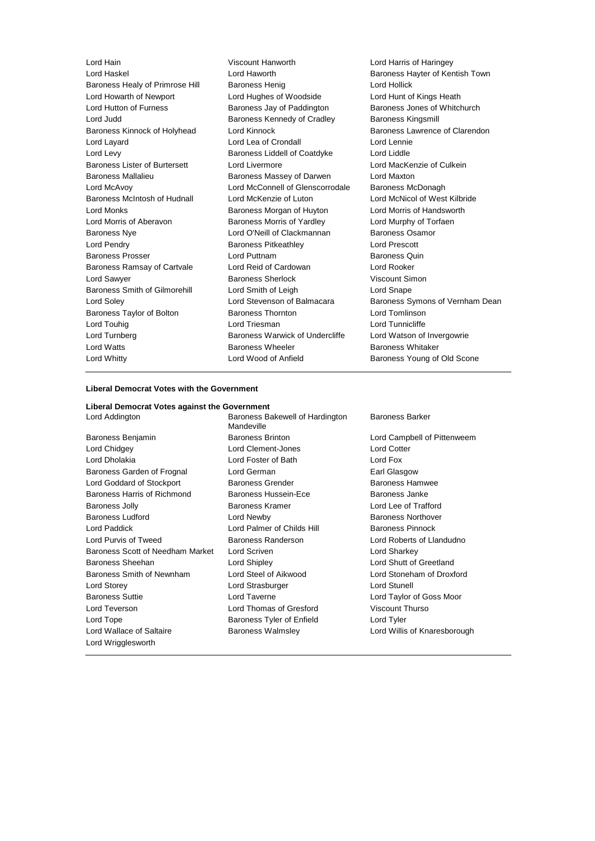Baroness Healy of Primrose Hill Baroness Henig Lord Hollick Lord Howarth of Newport Lord Hughes of Woodside Lord Hunt of Kings Heath Lord Hutton of Furness **Baroness Jay of Paddington** Baroness Jones of Whitchurch Lord Judd **Baroness Kennedy of Cradley** Baroness Kingsmill Baroness Kinnock of Holyhead Lord Kinnock **Baroness Lawrence of Clarendon** Lord Layard Lord Lea of Crondall Lord Lennie Lord Levy Baroness Liddell of Coatdyke Lord Liddle Baroness Lister of Burtersett Lord Livermore Lord Lord MacKenzie of Culkein Baroness Mallalieu Baroness Massey of Darwen Lord Maxton Lord McAvoy Lord McConnell of Glenscorrodale Baroness McDonagh Baroness McIntosh of Hudnall Lord McKenzie of Luton Lord McNicol of West Kilbride Lord Monks Baroness Morgan of Huyton Lord Morris of Handsworth Lord Morris of Aberavon Baroness Morris of Yardley Lord Murphy of Torfaen Baroness Nye **Lord O'Neill of Clackmannan** Baroness Osamor Lord Pendry Baroness Pitkeathley Lord Prescott Baroness Prosser **Example 20** Lord Puttnam **Baroness Quin** Baroness Ramsay of Cartvale Lord Reid of Cardowan Lord Rooker Lord Sawyer **Baroness Sherlock** Viscount Simon Baroness Smith of Gilmorehill Lord Smith of Leigh Lord Snape Baroness Taylor of Bolton Baroness Thornton Lord Tomlinson Lord Touhig **Lord Triesman** Lord Triesman **Lord Tunnicliffe** Lord Turnberg **Baroness Warwick of Undercliffe** Lord Watson of Invergowrie Lord Watts **Baroness Wheeler** Baroness Wheeler **Baroness Whitaker** Lord Whitty Lord Wood of Anfield Baroness Young of Old Scone

Lord Hain Viscount Hanworth Lord Harris of Haringey

Baroness Hayter of Kentish Town Lord Soley Lord Stevenson of Balmacara Baroness Symons of Vernham Dean

### **Liberal Democrat Votes with the Government**

| Liberal Democrat Votes against the Government  |                                               |                              |
|------------------------------------------------|-----------------------------------------------|------------------------------|
| Lord Addington                                 | Baroness Bakewell of Hardington<br>Mandeville | <b>Baroness Barker</b>       |
| Baroness Benjamin                              | <b>Baroness Brinton</b>                       | Lord Campbell of Pittenweem  |
| Lord Chidgey                                   | Lord Clement-Jones                            | <b>Lord Cotter</b>           |
| Lord Dholakia                                  | Lord Foster of Bath                           | Lord Fox                     |
| Baroness Garden of Frognal                     | Lord German                                   | Earl Glasgow                 |
| Lord Goddard of Stockport                      | <b>Baroness Grender</b>                       | Baroness Hamwee              |
| Baroness Harris of Richmond                    | Baroness Hussein-Ece                          | Baroness Janke               |
| <b>Baroness Jolly</b>                          | Baroness Kramer                               | Lord Lee of Trafford         |
| <b>Baroness Ludford</b>                        | Lord Newby                                    | Baroness Northover           |
| Lord Paddick                                   | Lord Palmer of Childs Hill                    | Baroness Pinnock             |
| <b>Lord Purvis of Tweed</b>                    | Baroness Randerson                            | Lord Roberts of Llandudno    |
| Baroness Scott of Needham Market               | Lord Scriven                                  | Lord Sharkey                 |
| Baroness Sheehan                               | Lord Shipley                                  | Lord Shutt of Greetland      |
| Baroness Smith of Newnham                      | Lord Steel of Aikwood                         | Lord Stoneham of Droxford    |
| Lord Storey                                    | Lord Strasburger                              | Lord Stunell                 |
| <b>Baroness Suttie</b>                         | Lord Taverne                                  | Lord Taylor of Goss Moor     |
| Lord Teverson                                  | Lord Thomas of Gresford                       | Viscount Thurso              |
| Lord Tope                                      | Baroness Tyler of Enfield                     | Lord Tyler                   |
| Lord Wallace of Saltaire<br>Lord Wrigglesworth | <b>Baroness Walmsley</b>                      | Lord Willis of Knaresborough |